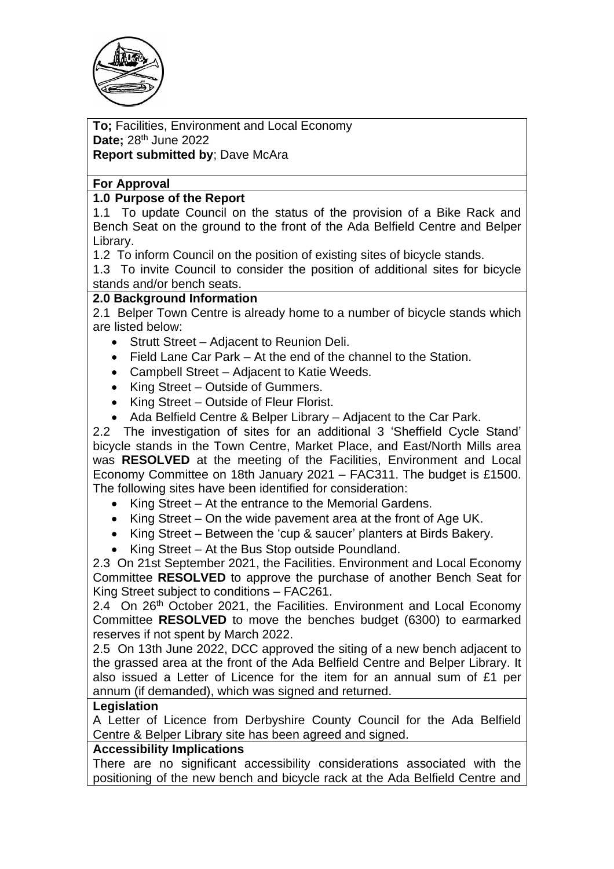

**To;** Facilities, Environment and Local Economy **Date**; 28<sup>th</sup> June 2022 **Report submitted by**; Dave McAra

# **For Approval**

## **1.0 Purpose of the Report**

1.1 To update Council on the status of the provision of a Bike Rack and Bench Seat on the ground to the front of the Ada Belfield Centre and Belper Library.

1.2 To inform Council on the position of existing sites of bicycle stands.

1.3 To invite Council to consider the position of additional sites for bicycle stands and/or bench seats.

## **2.0 Background Information**

2.1 Belper Town Centre is already home to a number of bicycle stands which are listed below:

- Strutt Street Adjacent to Reunion Deli.
- Field Lane Car Park At the end of the channel to the Station.
- Campbell Street Adjacent to Katie Weeds.
- King Street Outside of Gummers.
- King Street Outside of Fleur Florist.
- Ada Belfield Centre & Belper Library Adjacent to the Car Park.

2.2 The investigation of sites for an additional 3 'Sheffield Cycle Stand' bicycle stands in the Town Centre, Market Place, and East/North Mills area was **RESOLVED** at the meeting of the Facilities, Environment and Local Economy Committee on 18th January 2021 – FAC311. The budget is £1500. The following sites have been identified for consideration:

- King Street At the entrance to the Memorial Gardens.
- King Street On the wide pavement area at the front of Age UK.
- King Street Between the 'cup & saucer' planters at Birds Bakery.
- King Street At the Bus Stop outside Poundland.

2.3 On 21st September 2021, the Facilities. Environment and Local Economy Committee **RESOLVED** to approve the purchase of another Bench Seat for King Street subject to conditions – FAC261.

2.4 On 26<sup>th</sup> October 2021, the Facilities. Environment and Local Economy Committee **RESOLVED** to move the benches budget (6300) to earmarked reserves if not spent by March 2022.

2.5 On 13th June 2022, DCC approved the siting of a new bench adjacent to the grassed area at the front of the Ada Belfield Centre and Belper Library. It also issued a Letter of Licence for the item for an annual sum of £1 per annum (if demanded), which was signed and returned.

#### **Legislation**

A Letter of Licence from Derbyshire County Council for the Ada Belfield Centre & Belper Library site has been agreed and signed.

#### **Accessibility Implications**

There are no significant accessibility considerations associated with the positioning of the new bench and bicycle rack at the Ada Belfield Centre and